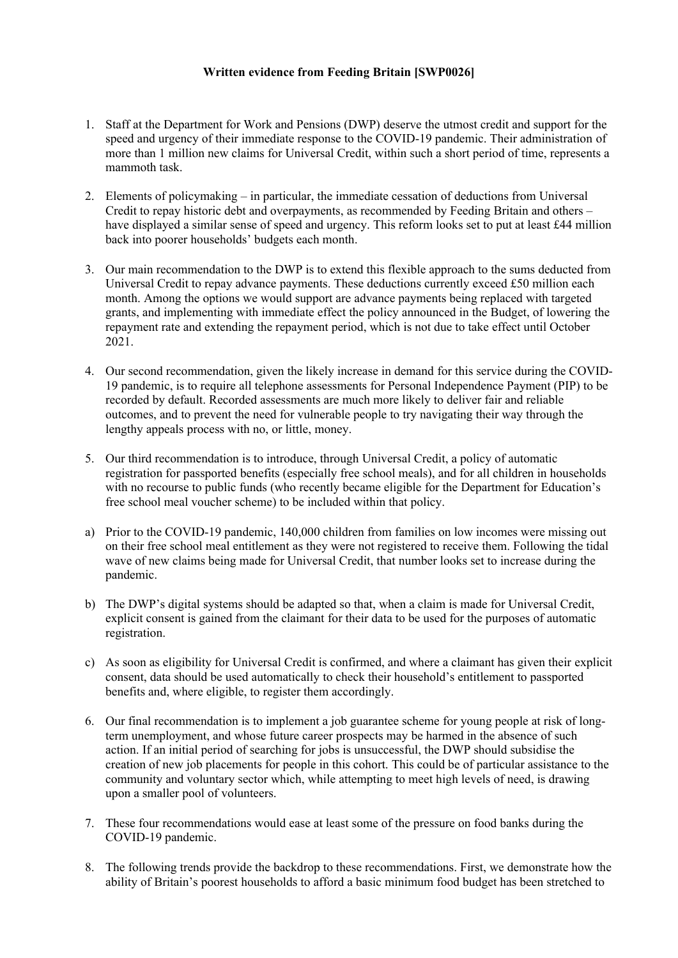# **Written evidence from Feeding Britain [SWP0026]**

- 1. Staff at the Department for Work and Pensions (DWP) deserve the utmost credit and support for the speed and urgency of their immediate response to the COVID-19 pandemic. Their administration of more than 1 million new claims for Universal Credit, within such a short period of time, represents a mammoth task.
- 2. Elements of policymaking in particular, the immediate cessation of deductions from Universal Credit to repay historic debt and overpayments, as recommended by Feeding Britain and others – have displayed a similar sense of speed and urgency. This reform looks set to put at least £44 million back into poorer households' budgets each month.
- 3. Our main recommendation to the DWP is to extend this flexible approach to the sums deducted from Universal Credit to repay advance payments. These deductions currently exceed £50 million each month. Among the options we would support are advance payments being replaced with targeted grants, and implementing with immediate effect the policy announced in the Budget, of lowering the repayment rate and extending the repayment period, which is not due to take effect until October 2021.
- 4. Our second recommendation, given the likely increase in demand for this service during the COVID-19 pandemic, is to require all telephone assessments for Personal Independence Payment (PIP) to be recorded by default. Recorded assessments are much more likely to deliver fair and reliable outcomes, and to prevent the need for vulnerable people to try navigating their way through the lengthy appeals process with no, or little, money.
- 5. Our third recommendation is to introduce, through Universal Credit, a policy of automatic registration for passported benefits (especially free school meals), and for all children in households with no recourse to public funds (who recently became eligible for the Department for Education's free school meal voucher scheme) to be included within that policy.
- a) Prior to the COVID-19 pandemic, 140,000 children from families on low incomes were missing out on their free school meal entitlement as they were not registered to receive them. Following the tidal wave of new claims being made for Universal Credit, that number looks set to increase during the pandemic.
- b) The DWP's digital systems should be adapted so that, when a claim is made for Universal Credit, explicit consent is gained from the claimant for their data to be used for the purposes of automatic registration.
- c) As soon as eligibility for Universal Credit is confirmed, and where a claimant has given their explicit consent, data should be used automatically to check their household's entitlement to passported benefits and, where eligible, to register them accordingly.
- 6. Our final recommendation is to implement a job guarantee scheme for young people at risk of longterm unemployment, and whose future career prospects may be harmed in the absence of such action. If an initial period of searching for jobs is unsuccessful, the DWP should subsidise the creation of new job placements for people in this cohort. This could be of particular assistance to the community and voluntary sector which, while attempting to meet high levels of need, is drawing upon a smaller pool of volunteers.
- 7. These four recommendations would ease at least some of the pressure on food banks during the COVID-19 pandemic.
- 8. The following trends provide the backdrop to these recommendations. First, we demonstrate how the ability of Britain's poorest households to afford a basic minimum food budget has been stretched to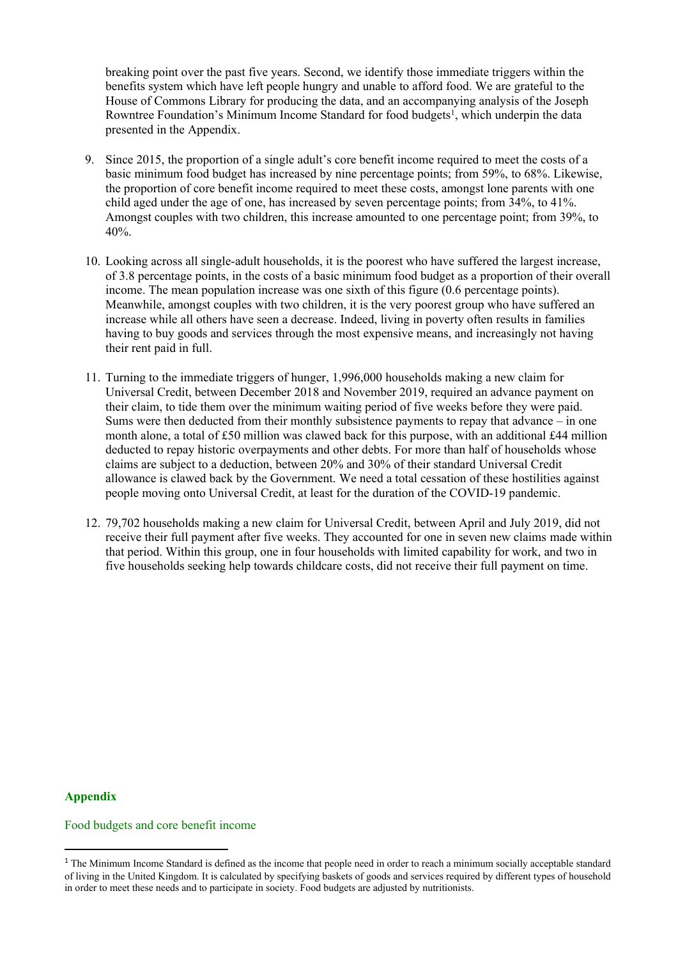breaking point over the past five years. Second, we identify those immediate triggers within the benefits system which have left people hungry and unable to afford food. We are grateful to the House of Commons Library for producing the data, and an accompanying analysis of the Joseph Rowntree Foundation's Minimum Income Standard for food budgets<sup>1</sup>, which underpin the data presented in the Appendix.

- 9. Since 2015, the proportion of a single adult's core benefit income required to meet the costs of a basic minimum food budget has increased by nine percentage points; from 59%, to 68%. Likewise, the proportion of core benefit income required to meet these costs, amongst lone parents with one child aged under the age of one, has increased by seven percentage points; from 34%, to 41%. Amongst couples with two children, this increase amounted to one percentage point; from 39%, to 40%.
- 10. Looking across all single-adult households, it is the poorest who have suffered the largest increase, of 3.8 percentage points, in the costs of a basic minimum food budget as a proportion of their overall income. The mean population increase was one sixth of this figure (0.6 percentage points). Meanwhile, amongst couples with two children, it is the very poorest group who have suffered an increase while all others have seen a decrease. Indeed, living in poverty often results in families having to buy goods and services through the most expensive means, and increasingly not having their rent paid in full.
- 11. Turning to the immediate triggers of hunger, 1,996,000 households making a new claim for Universal Credit, between December 2018 and November 2019, required an advance payment on their claim, to tide them over the minimum waiting period of five weeks before they were paid. Sums were then deducted from their monthly subsistence payments to repay that advance – in one month alone, a total of £50 million was clawed back for this purpose, with an additional £44 million deducted to repay historic overpayments and other debts. For more than half of households whose claims are subject to a deduction, between 20% and 30% of their standard Universal Credit allowance is clawed back by the Government. We need a total cessation of these hostilities against people moving onto Universal Credit, at least for the duration of the COVID-19 pandemic.
- 12. 79,702 households making a new claim for Universal Credit, between April and July 2019, did not receive their full payment after five weeks. They accounted for one in seven new claims made within that period. Within this group, one in four households with limited capability for work, and two in five households seeking help towards childcare costs, did not receive their full payment on time.

### **Appendix**

#### Food budgets and core benefit income

<sup>&</sup>lt;sup>1</sup> The Minimum Income Standard is defined as the income that people need in order to reach a minimum socially acceptable standard of living in the United Kingdom. It is calculated by specifying baskets of goods and services required by different types of household in order to meet these needs and to participate in society. Food budgets are adjusted by nutritionists.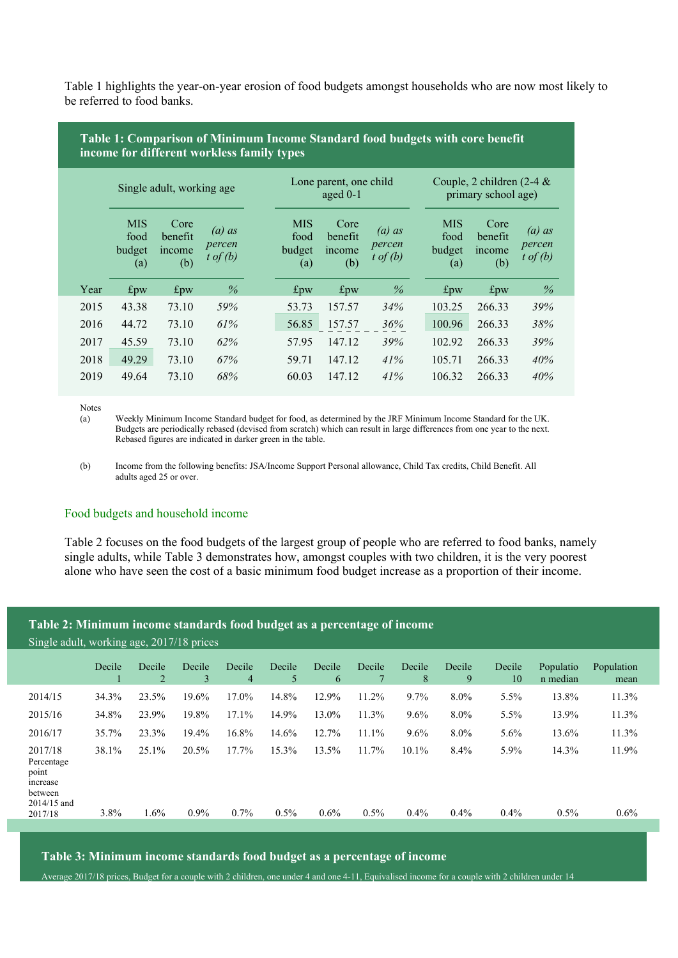Table 1 highlights the year-on-year erosion of food budgets amongst households who are now most likely to be referred to food banks.

# **Table 1: Comparison of Minimum Income Standard food budgets with core benefit income for different workless family types**

|      | Single adult, working age           |                                  |                                           |                                     | Lone parent, one child<br>aged $0-1$ |                                           | Couple, 2 children $(2-4 \&$<br>primary school age) |                                     |                                  |                                           |
|------|-------------------------------------|----------------------------------|-------------------------------------------|-------------------------------------|--------------------------------------|-------------------------------------------|-----------------------------------------------------|-------------------------------------|----------------------------------|-------------------------------------------|
|      | <b>MIS</b><br>food<br>budget<br>(a) | Core<br>benefit<br>income<br>(b) | $(a)$ as<br>percen<br>$t \text{ of } (b)$ | <b>MIS</b><br>food<br>budget<br>(a) | Core<br>benefit<br>income<br>(b)     | $(a)$ as<br>percen<br>$t \text{ of } (b)$ |                                                     | <b>MIS</b><br>food<br>budget<br>(a) | Core<br>benefit<br>income<br>(b) | $(a)$ as<br>percen<br>$t \text{ of } (b)$ |
| Year | $f_{\rm DW}$                        | $f_{\rm pw}$                     | $\%$                                      | $f_{\rm DW}$                        | $f_{\rm pw}$                         | $\%$                                      |                                                     | $f_{\rm pw}$                        | $f_{\rm pw}$                     | $\%$                                      |
| 2015 | 43.38                               | 73.10                            | 59%                                       | 53.73                               | 157.57                               | 34%                                       |                                                     | 103.25                              | 266.33                           | 39%                                       |
| 2016 | 44.72                               | 73.10                            | 61%                                       | 56.85                               | 157.57                               | 36%                                       |                                                     | 100.96                              | 266.33                           | 38%                                       |
| 2017 | 45.59                               | 73.10                            | 62%                                       | 57.95                               | 147.12                               | 39%                                       |                                                     | 102.92                              | 266.33                           | 39%                                       |
| 2018 | 49.29                               | 73.10                            | 67%                                       | 59.71                               | 147.12                               | 41%                                       |                                                     | 105.71                              | 266.33                           | 40%                                       |
| 2019 | 49.64                               | 73.10                            | 68%                                       | 60.03                               | 147.12                               | 41%                                       |                                                     | 106.32                              | 266.33                           | 40%                                       |

Notes  $(a)$ 

Weekly Minimum Income Standard budget for food, as determined by the JRF Minimum Income Standard for the UK. Budgets are periodically rebased (devised from scratch) which can result in large differences from one year to the next. Rebased figures are indicated in darker green in the table.

(b) Income from the following benefits: JSA/Income Support Personal allowance, Child Tax credits, Child Benefit. All adults aged 25 or over.

### Food budgets and household income

Table 2 focuses on the food budgets of the largest group of people who are referred to food banks, namely single adults, while Table 3 demonstrates how, amongst couples with two children, it is the very poorest alone who have seen the cost of a basic minimum food budget increase as a proportion of their income.

### **Table 2: Minimum income standards food budget as a percentage of income**

Single adult, working age, 2017/18 prices

|                                                                                 | Decile        | Decile<br>2      | Decile<br>3      | Decile<br>4      | Decile<br>5      | Decile<br>6      | Decile           | Decile<br>8         | Decile<br>9  | Decile<br>10       | Populatio<br>n median | Population<br>mean |
|---------------------------------------------------------------------------------|---------------|------------------|------------------|------------------|------------------|------------------|------------------|---------------------|--------------|--------------------|-----------------------|--------------------|
| 2014/15                                                                         | 34.3%         | 23.5%            | 19.6%            | 17.0%            | 14.8%            | 12.9%            | 11.2%            | $9.7\%$             | $8.0\%$      | 5.5%               | 13.8%                 | 11.3%              |
| 2015/16                                                                         | 34.8%         | 23.9%            | 19.8%            | 17.1%            | 14.9%            | 13.0%            | 11.3%            | 9.6%                | $8.0\%$      | 5.5%               | 13.9%                 | 11.3%              |
| 2016/17                                                                         | 35.7%         | 23.3%            | 19.4%            | 16.8%            | 14.6%            | 12.7%            | 11.1%            | 9.6%                | $8.0\%$      | 5.6%               | 13.6%                 | 11.3%              |
| 2017/18<br>Percentage<br>point<br>increase<br>between<br>2014/15 and<br>2017/18 | 38.1%<br>3.8% | 25.1%<br>$1.6\%$ | 20.5%<br>$0.9\%$ | 17.7%<br>$0.7\%$ | 15.3%<br>$0.5\%$ | 13.5%<br>$0.6\%$ | 11.7%<br>$0.5\%$ | $10.1\%$<br>$0.4\%$ | 8.4%<br>0.4% | $5.9\%$<br>$0.4\%$ | 14.3%<br>0.5%         | 11.9%<br>$0.6\%$   |
|                                                                                 |               |                  |                  |                  |                  |                  |                  |                     |              |                    |                       |                    |

**Table 3: Minimum income standards food budget as a percentage of income**

Average 2017/18 prices, Budget for a couple with 2 children, one under 4 and one 4-11, Equivalised income for a couple with 2 children under 14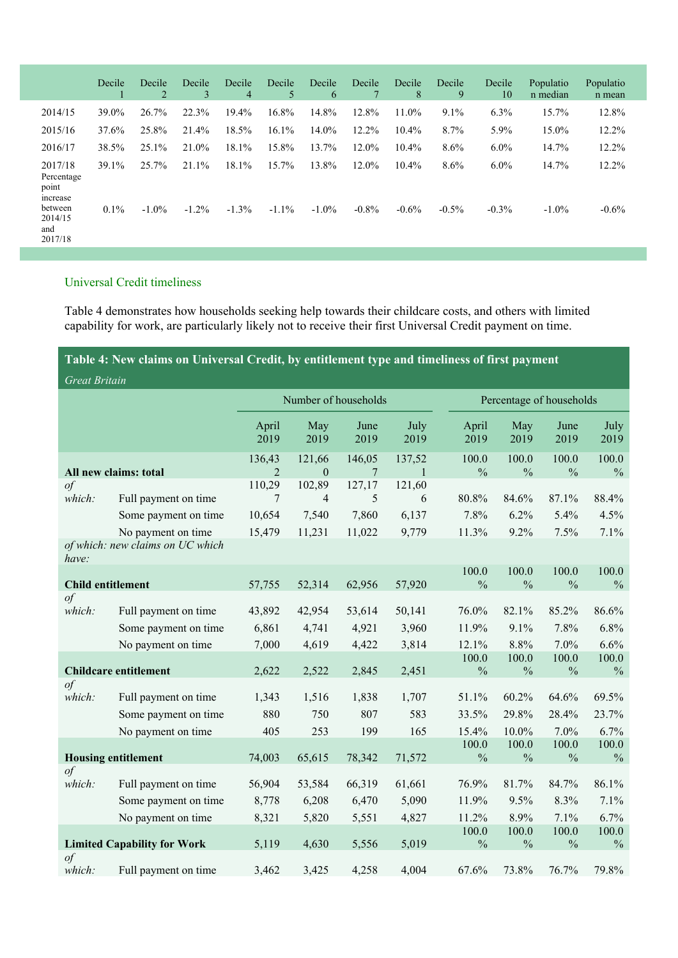|                                            | Decile  | Decile<br>2 | Decile<br>3 | Decile<br>4 | Decile<br>5 | Decile<br>6 | Decile  | Decile<br>8 | Decile<br>9 | Decile<br>10 | Populatio<br>n median | Populatio<br>n mean |
|--------------------------------------------|---------|-------------|-------------|-------------|-------------|-------------|---------|-------------|-------------|--------------|-----------------------|---------------------|
| 2014/15                                    | 39.0%   | 26.7%       | 22.3%       | 19.4%       | 16.8%       | 14.8%       | 12.8%   | 11.0%       | 9.1%        | 6.3%         | 15.7%                 | 12.8%               |
| 2015/16                                    | 37.6%   | 25.8%       | 21.4%       | 18.5%       | 16.1%       | 14.0%       | 12.2%   | 10.4%       | 8.7%        | 5.9%         | 15.0%                 | 12.2%               |
| 2016/17                                    | 38.5%   | 25.1%       | 21.0%       | 18.1%       | 15.8%       | 13.7%       | 12.0%   | 10.4%       | 8.6%        | $6.0\%$      | 14.7%                 | 12.2%               |
| 2017/18<br>Percentage<br>point<br>increase | 39.1%   | 25.7%       | $21.1\%$    | 18.1%       | 15.7%       | 13.8%       | 12.0%   | $10.4\%$    | 8.6%        | $6.0\%$      | 14.7%                 | 12.2%               |
| between<br>2014/15<br>and<br>2017/18       | $0.1\%$ | $-1.0\%$    | $-1.2\%$    | $-1.3%$     | $-1.1\%$    | $-1.0\%$    | $-0.8%$ | $-0.6%$     | $-0.5\%$    | $-0.3\%$     | $-1.0\%$              | $-0.6%$             |

# Universal Credit timeliness

Table 4 demonstrates how households seeking help towards their childcare costs, and others with limited capability for work, are particularly likely not to receive their first Universal Credit payment on time.

**Table 4: New claims on Universal Credit, by entitlement type and timeliness of first payment** *Great Britain*

|                                    |                                  |                          | Number of households |              |              | Percentage of households |                        |                        |                        |  |  |
|------------------------------------|----------------------------------|--------------------------|----------------------|--------------|--------------|--------------------------|------------------------|------------------------|------------------------|--|--|
|                                    |                                  | April<br>2019            | May<br>2019          | June<br>2019 | July<br>2019 | April<br>2019            | May<br>2019            | June<br>2019           | July<br>2019           |  |  |
|                                    |                                  | 136,43<br>$\mathfrak{D}$ | 121,66<br>$\theta$   | 146,05       | 137,52       | 100.0                    | 100.0                  | 100.0                  | 100.0                  |  |  |
| $\sigma f$                         | All new claims: total            |                          | 102,89               | 7<br>127,17  | 121,60       | $\frac{0}{0}$            | $\frac{0}{0}$          | $\frac{0}{0}$          | $\frac{0}{0}$          |  |  |
| which:                             | Full payment on time             | 110,29<br>7              | 4                    | 5            | 6            | 80.8%                    | 84.6%                  | 87.1%                  | 88.4%                  |  |  |
|                                    | Some payment on time             | 10,654                   | 7,540                | 7,860        | 6,137        | 7.8%                     | 6.2%                   | 5.4%                   | 4.5%                   |  |  |
|                                    | No payment on time               | 15,479                   | 11,231               | 11,022       | 9,779        | 11.3%                    | 9.2%                   | 7.5%                   | 7.1%                   |  |  |
| have:                              | of which: new claims on UC which |                          |                      |              |              |                          |                        |                        |                        |  |  |
|                                    |                                  |                          |                      |              |              | 100.0                    | 100.0                  | 100.0                  | 100.0                  |  |  |
| <b>Child entitlement</b>           |                                  | 57,755                   | 52,314               | 62,956       | 57,920       | $\frac{0}{0}$            | $\frac{0}{0}$          | $\frac{0}{0}$          | $\frac{0}{0}$          |  |  |
| $\circ f$                          |                                  |                          |                      |              |              |                          |                        |                        |                        |  |  |
| which:                             | Full payment on time             | 43,892                   | 42,954               | 53,614       | 50,141       | 76.0%                    | 82.1%                  | 85.2%                  | 86.6%                  |  |  |
|                                    | Some payment on time             | 6,861                    | 4,741                | 4,921        | 3,960        | 11.9%                    | 9.1%                   | 7.8%                   | 6.8%                   |  |  |
|                                    | No payment on time               | 7,000                    | 4,619                | 4,422        | 3,814        | 12.1%                    | 8.8%                   | 7.0%                   | 6.6%                   |  |  |
|                                    | <b>Childcare entitlement</b>     | 2,622                    | 2,522                | 2,845        | 2,451        | 100.0<br>$\frac{0}{0}$   | 100.0<br>$\frac{0}{0}$ | 100.0<br>$\frac{0}{0}$ | 100.0<br>$\frac{0}{0}$ |  |  |
| $\int$                             |                                  |                          |                      |              |              |                          |                        |                        |                        |  |  |
| which:                             | Full payment on time             | 1,343                    | 1,516                | 1,838        | 1,707        | 51.1%                    | 60.2%                  | 64.6%                  | 69.5%                  |  |  |
|                                    | Some payment on time             | 880                      | 750                  | 807          | 583          | 33.5%                    | 29.8%                  | 28.4%                  | 23.7%                  |  |  |
|                                    | No payment on time               | 405                      | 253                  | 199          | 165          | 15.4%                    | 10.0%                  | 7.0%                   | 6.7%                   |  |  |
|                                    |                                  |                          |                      |              |              | 100.0                    | 100.0                  | 100.0                  | 100.0                  |  |  |
|                                    | <b>Housing entitlement</b>       | 74,003                   | 65,615               | 78,342       | 71,572       | $\frac{0}{0}$            | $\frac{0}{0}$          | $\frac{0}{0}$          | $\frac{0}{0}$          |  |  |
| $\int$<br>which:                   | Full payment on time             | 56,904                   | 53,584               | 66,319       | 61,661       | 76.9%                    | 81.7%                  | 84.7%                  | 86.1%                  |  |  |
|                                    |                                  |                          |                      |              |              |                          |                        |                        |                        |  |  |
|                                    | Some payment on time             | 8,778                    | 6,208                | 6,470        | 5,090        | 11.9%                    | 9.5%                   | 8.3%                   | 7.1%                   |  |  |
|                                    | No payment on time               | 8,321                    | 5,820                | 5,551        | 4,827        | 11.2%                    | 8.9%                   | 7.1%                   | 6.7%                   |  |  |
| <b>Limited Capability for Work</b> |                                  | 5,119                    | 4,630                | 5,556        | 5,019        | 100.0<br>$\frac{0}{0}$   | 100.0<br>$\frac{0}{0}$ | 100.0<br>$\frac{0}{0}$ | 100.0<br>$\frac{0}{0}$ |  |  |
| $\int$                             |                                  |                          |                      |              |              |                          |                        |                        |                        |  |  |
| which:                             | Full payment on time             | 3,462                    | 3,425                | 4,258        | 4,004        | 67.6%                    | 73.8%                  | 76.7%                  | 79.8%                  |  |  |